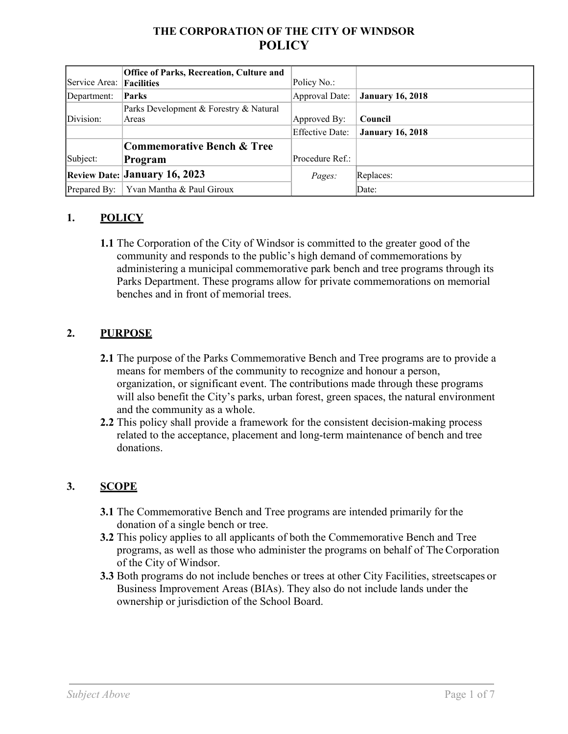# **THE CORPORATION OF THE CITY OF WINDSOR POLICY**

| Service Area: | <b>Office of Parks, Recreation, Culture and</b><br>Facilities | Policy No.:     |                         |
|---------------|---------------------------------------------------------------|-----------------|-------------------------|
| Department:   | Parks                                                         | Approval Date:  | <b>January 16, 2018</b> |
|               | Parks Development & Forestry & Natural                        |                 |                         |
| Division:     | Areas                                                         | Approved By:    | Council                 |
|               |                                                               | Effective Date: | <b>January 16, 2018</b> |
|               | Commemorative Bench & Tree                                    |                 |                         |
| Subject:      | Program                                                       | Procedure Ref.: |                         |
|               | <b>Review Date: January 16, 2023</b>                          | <i>Pages:</i>   | Replaces:               |
| Prepared By:  | Yvan Mantha & Paul Giroux                                     |                 | Date:                   |

### **1. POLICY**

**1.1** The Corporation of the City of Windsor is committed to the greater good of the community and responds to the public's high demand of commemorations by administering a municipal commemorative park bench and tree programs through its Parks Department. These programs allow for private commemorations on memorial benches and in front of memorial trees.

### **2. PURPOSE**

- **2.1** The purpose of the Parks Commemorative Bench and Tree programs are to provide a means for members of the community to recognize and honour a person, organization, or significant event. The contributions made through these programs will also benefit the City's parks, urban forest, green spaces, the natural environment and the community as a whole.
- **2.2** This policy shall provide a framework for the consistent decision-making process related to the acceptance, placement and long-term maintenance of bench and tree donations.

## **3. SCOPE**

- **3.1** The Commemorative Bench and Tree programs are intended primarily for the donation of a single bench or tree.
- **3.2** This policy applies to all applicants of both the Commemorative Bench and Tree programs, as well as those who administer the programs on behalf of The Corporation of the City of Windsor.
- **3.3** Both programs do not include benches or trees at other City Facilities, streetscapes or Business Improvement Areas (BIAs). They also do not include lands under the ownership or jurisdiction of the School Board.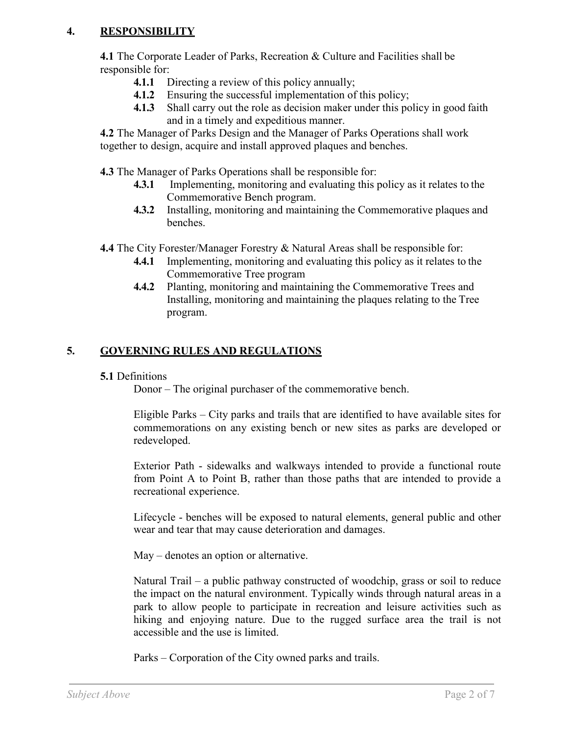### **4. RESPONSIBILITY**

**4.1** The Corporate Leader of Parks, Recreation & Culture and Facilities shall be responsible for:

- **4.1.1** Directing a review of this policy annually;
- **4.1.2** Ensuring the successful implementation of this policy;
- **4.1.3** Shall carry out the role as decision maker under this policy in good faith and in a timely and expeditious manner.

**4.2** The Manager of Parks Design and the Manager of Parks Operations shall work together to design, acquire and install approved plaques and benches.

**4.3** The Manager of Parks Operations shall be responsible for:

- **4.3.1** Implementing, monitoring and evaluating this policy as it relates to the Commemorative Bench program.
- **4.3.2** Installing, monitoring and maintaining the Commemorative plaques and benches.

**4.4** The City Forester/Manager Forestry & Natural Areas shall be responsible for:

- **4.4.1** Implementing, monitoring and evaluating this policy as it relates to the Commemorative Tree program
- **4.4.2** Planting, monitoring and maintaining the Commemorative Trees and Installing, monitoring and maintaining the plaques relating to the Tree program.

# **5. GOVERNING RULES AND REGULATIONS**

### **5.1** Definitions

Donor – The original purchaser of the commemorative bench.

Eligible Parks – City parks and trails that are identified to have available sites for commemorations on any existing bench or new sites as parks are developed or redeveloped.

Exterior Path - sidewalks and walkways intended to provide a functional route from Point A to Point B, rather than those paths that are intended to provide a recreational experience.

Lifecycle - benches will be exposed to natural elements, general public and other wear and tear that may cause deterioration and damages.

May – denotes an option or alternative.

Natural Trail – a public pathway constructed of woodchip, grass or soil to reduce the impact on the natural environment. Typically winds through natural areas in a park to allow people to participate in recreation and leisure activities such as hiking and enjoying nature. Due to the rugged surface area the trail is not accessible and the use is limited.

Parks – Corporation of the City owned parks and trails.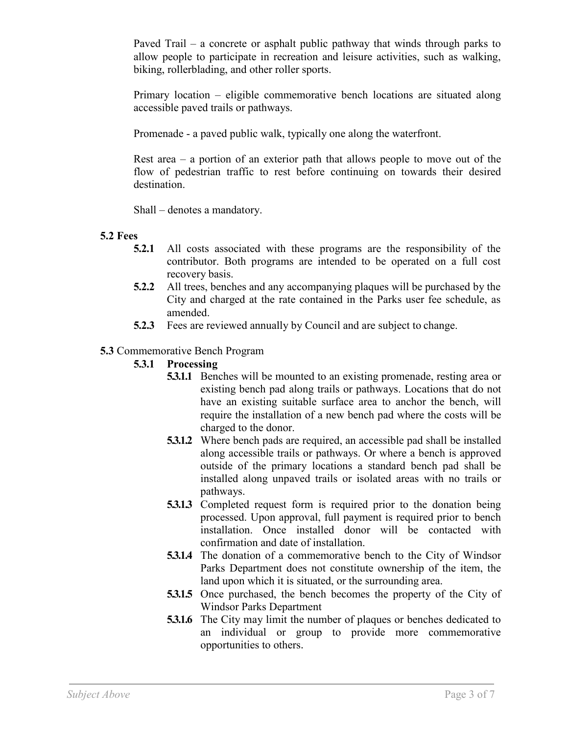Paved Trail – a concrete or asphalt public pathway that winds through parks to allow people to participate in recreation and leisure activities, such as walking, biking, rollerblading, and other roller sports.

Primary location – eligible commemorative bench locations are situated along accessible paved trails or pathways.

Promenade - a paved public walk, typically one along the waterfront.

Rest area – a portion of an exterior path that allows people to move out of the flow of pedestrian traffic to rest before continuing on towards their desired destination.

Shall – denotes a mandatory.

#### **5.2 Fees**

- **5.2.1** All costs associated with these programs are the responsibility of the contributor. Both programs are intended to be operated on a full cost recovery basis.
- **5.2.2** All trees, benches and any accompanying plaques will be purchased by the City and charged at the rate contained in the Parks user fee schedule, as amended.
- **5.2.3** Fees are reviewed annually by Council and are subject to change.

### **5.3** Commemorative Bench Program

### **5.3.1 Processing**

- **5.3.1.1** Benches will be mounted to an existing promenade, resting area or existing bench pad along trails or pathways. Locations that do not have an existing suitable surface area to anchor the bench, will require the installation of a new bench pad where the costs will be charged to the donor.
- **5.3.1.2** Where bench pads are required, an accessible pad shall be installed along accessible trails or pathways. Or where a bench is approved outside of the primary locations a standard bench pad shall be installed along unpaved trails or isolated areas with no trails or pathways.
- **5.3.1.3** Completed request form is required prior to the donation being processed. Upon approval, full payment is required prior to bench installation. Once installed donor will be contacted with confirmation and date of installation.
- **5.3.1.4** The donation of a commemorative bench to the City of Windsor Parks Department does not constitute ownership of the item, the land upon which it is situated, or the surrounding area.
- **5.3.1.5** Once purchased, the bench becomes the property of the City of Windsor Parks Department
- **5.3.1.6** The City may limit the number of plaques or benches dedicated to an individual or group to provide more commemorative opportunities to others.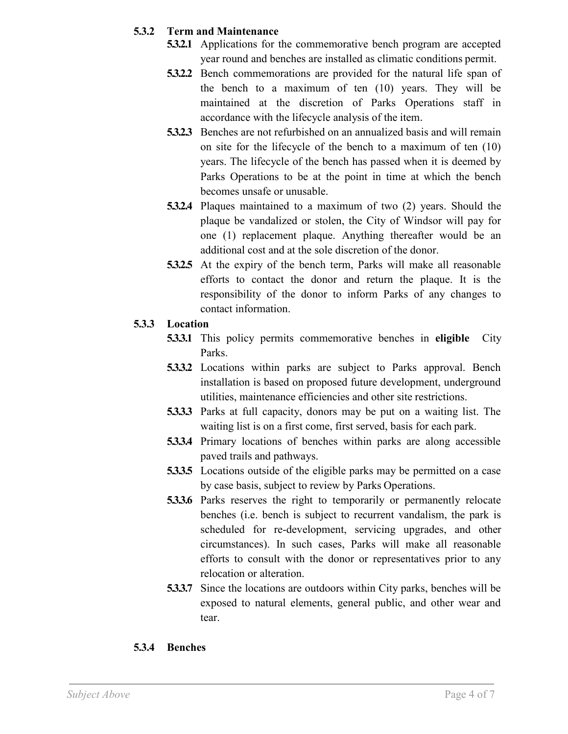### **5.3.2 Term and Maintenance**

- **5.3.2.1** Applications for the commemorative bench program are accepted year round and benches are installed as climatic conditions permit.
- **5.3.2.2** Bench commemorations are provided for the natural life span of the bench to a maximum of ten (10) years. They will be maintained at the discretion of Parks Operations staff in accordance with the lifecycle analysis of the item.
- **5.3.2.3** Benches are not refurbished on an annualized basis and will remain on site for the lifecycle of the bench to a maximum of ten (10) years. The lifecycle of the bench has passed when it is deemed by Parks Operations to be at the point in time at which the bench becomes unsafe or unusable.
- **5.3.2.4** Plaques maintained to a maximum of two (2) years. Should the plaque be vandalized or stolen, the City of Windsor will pay for one (1) replacement plaque. Anything thereafter would be an additional cost and at the sole discretion of the donor.
- **5.3.2.5** At the expiry of the bench term, Parks will make all reasonable efforts to contact the donor and return the plaque. It is the responsibility of the donor to inform Parks of any changes to contact information.

### **5.3.3 Location**

- **5.3.3.1** This policy permits commemorative benches in **eligible** City Parks.
- **5.3.3.2** Locations within parks are subject to Parks approval. Bench installation is based on proposed future development, underground utilities, maintenance efficiencies and other site restrictions.
- **5.3.3.3** Parks at full capacity, donors may be put on a waiting list. The waiting list is on a first come, first served, basis for each park.
- **5.3.3.4** Primary locations of benches within parks are along accessible paved trails and pathways.
- **5.3.3.5** Locations outside of the eligible parks may be permitted on a case by case basis, subject to review by Parks Operations.
- **5.3.3.6** Parks reserves the right to temporarily or permanently relocate benches (i.e. bench is subject to recurrent vandalism, the park is scheduled for re-development, servicing upgrades, and other circumstances). In such cases, Parks will make all reasonable efforts to consult with the donor or representatives prior to any relocation or alteration.
- **5.3.3.7** Since the locations are outdoors within City parks, benches will be exposed to natural elements, general public, and other wear and tear.

## **5.3.4 Benches**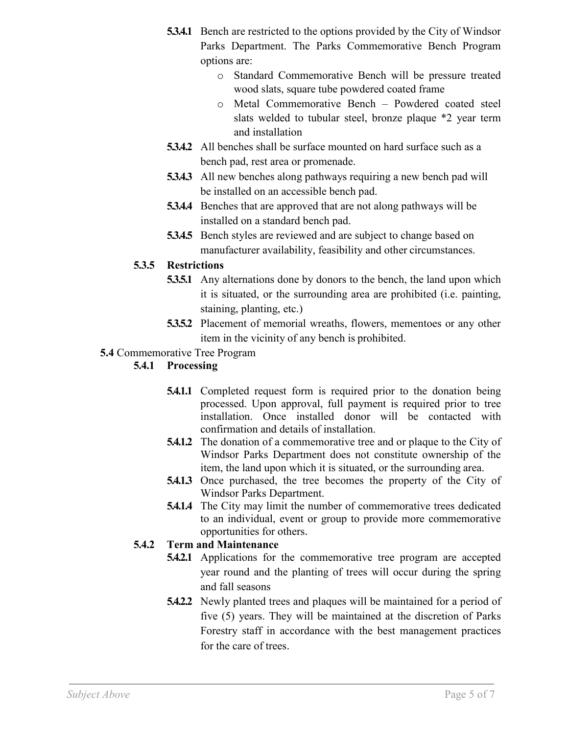- **5.3.4.1** Bench are restricted to the options provided by the City of Windsor Parks Department. The Parks Commemorative Bench Program options are:
	- o Standard Commemorative Bench will be pressure treated wood slats, square tube powdered coated frame
	- o Metal Commemorative Bench Powdered coated steel slats welded to tubular steel, bronze plaque \*2 year term and installation
- **5.3.4.2** All benches shall be surface mounted on hard surface such as a bench pad, rest area or promenade.
- **5.3.4.3** All new benches along pathways requiring a new bench pad will be installed on an accessible bench pad.
- **5.3.4.4** Benches that are approved that are not along pathways will be installed on a standard bench pad.
- **5.3.4.5** Bench styles are reviewed and are subject to change based on manufacturer availability, feasibility and other circumstances.

## **5.3.5 Restrictions**

- **5.3.5.1** Any alternations done by donors to the bench, the land upon which it is situated, or the surrounding area are prohibited (i.e. painting, staining, planting, etc.)
- **5.3.5.2** Placement of memorial wreaths, flowers, mementoes or any other item in the vicinity of any bench is prohibited.

### **5.4** Commemorative Tree Program

## **5.4.1 Processing**

- **5.4.1.1** Completed request form is required prior to the donation being processed. Upon approval, full payment is required prior to tree installation. Once installed donor will be contacted with confirmation and details of installation.
- **5.4.1.2** The donation of a commemorative tree and or plaque to the City of Windsor Parks Department does not constitute ownership of the item, the land upon which it is situated, or the surrounding area.
- **5.4.1.3** Once purchased, the tree becomes the property of the City of Windsor Parks Department.
- **5.4.1.4** The City may limit the number of commemorative trees dedicated to an individual, event or group to provide more commemorative opportunities for others.

## **5.4.2 Term and Maintenance**

- **5.4.2.1** Applications for the commemorative tree program are accepted year round and the planting of trees will occur during the spring and fall seasons
- **5.4.2.2** Newly planted trees and plaques will be maintained for a period of five (5) years. They will be maintained at the discretion of Parks Forestry staff in accordance with the best management practices for the care of trees.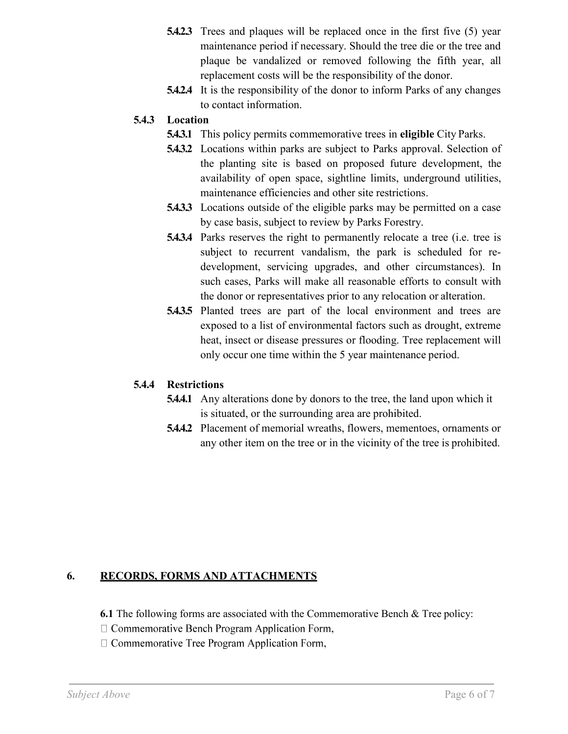- **5.4.2.3** Trees and plaques will be replaced once in the first five (5) year maintenance period if necessary. Should the tree die or the tree and plaque be vandalized or removed following the fifth year, all replacement costs will be the responsibility of the donor.
- **5.4.2.4** It is the responsibility of the donor to inform Parks of any changes to contact information.

## **5.4.3 Location**

- **5.4.3.1** This policy permits commemorative trees in **eligible** City Parks.
- **5.4.3.2** Locations within parks are subject to Parks approval. Selection of the planting site is based on proposed future development, the availability of open space, sightline limits, underground utilities, maintenance efficiencies and other site restrictions.
- **5.4.3.3** Locations outside of the eligible parks may be permitted on a case by case basis, subject to review by Parks Forestry.
- **5.4.3.4** Parks reserves the right to permanently relocate a tree (i.e. tree is subject to recurrent vandalism, the park is scheduled for redevelopment, servicing upgrades, and other circumstances). In such cases, Parks will make all reasonable efforts to consult with the donor or representatives prior to any relocation or alteration.
- **5.4.3.5** Planted trees are part of the local environment and trees are exposed to a list of environmental factors such as drought, extreme heat, insect or disease pressures or flooding. Tree replacement will only occur one time within the 5 year maintenance period.

### **5.4.4 Restrictions**

- **5.4.4.1** Any alterations done by donors to the tree, the land upon which it is situated, or the surrounding area are prohibited.
- **5.4.4.2** Placement of memorial wreaths, flowers, mementoes, ornaments or any other item on the tree or in the vicinity of the tree is prohibited.

## **6. RECORDS, FORMS AND ATTACHMENTS**

**6.1** The following forms are associated with the Commemorative Bench & Tree policy:

- $\Box$  Commemorative Bench Program Application Form,
- $\Box$  Commemorative Tree Program Application Form,